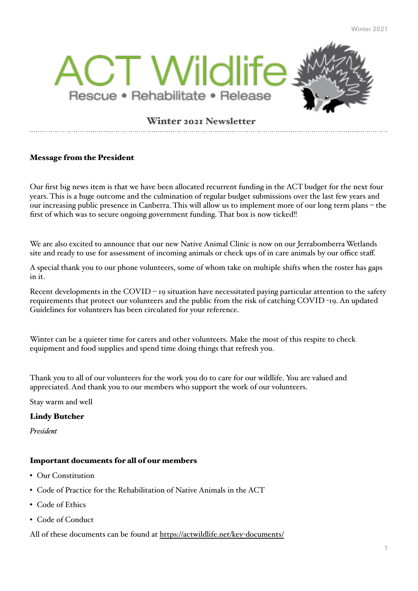

# Winter 2021 Newsletter

## Message from the President

Our first big news item is that we have been allocated recurrent funding in the ACT budget for the next four years. This is a huge outcome and the culmination of regular budget submissions over the last few years and our increasing public presence in Canberra. This will allow us to implement more of our long term plans – the first of which was to secure ongoing government funding. That box is now ticked!!

We are also excited to announce that our new Native Animal Clinic is now on our Jerrabomberra Wetlands site and ready to use for assessment of incoming animals or check ups of in care animals by our office staff.

A special thank you to our phone volunteers, some of whom take on multiple shifts when the roster has gaps in it.

Recent developments in the COVID – 19 situation have necessitated paying particular attention to the safety requirements that protect our volunteers and the public from the risk of catching COVID -19. An updated Guidelines for volunteers has been circulated for your reference.

Winter can be a quieter time for carers and other volunteers. Make the most of this respite to check equipment and food supplies and spend time doing things that refresh you.

Thank you to all of our volunteers for the work you do to care for our wildlife. You are valued and appreciated. And thank you to our members who support the work of our volunteers.

Stay warm and well

#### Lindy Butcher

*President* 

## Important documents for all of our members

- Our Constitution
- Code of Practice for the Rehabilitation of Native Animals in the ACT
- Code of Ethics
- Code of Conduct

All of these documents can be found at [https://actwildlife.net/key](https://actwildlife.net/key-documents/)-documents/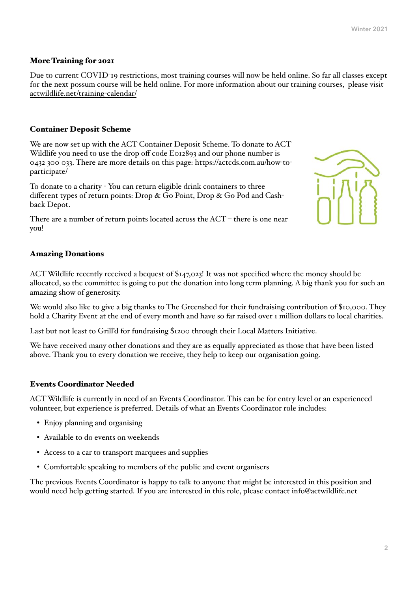### More Training for 2021

Due to current COVID-19 restrictions, most training courses will now be held online. So far all classes except for the next possum course will be held online. For more information about our training courses, please visit [actwildlife.net/training](http://actwildlife.net/training-calendar/)-calendar/

#### Container Deposit Scheme

We are now set up with the ACT Container Deposit Scheme. To donate to ACT Wildlife you need to use the drop off code E012893 and our phone number is 0432 300 033. There are more details on this page: https://actcds.com.au/how-toparticipate/

To donate to a charity - You can return eligible drink containers to three different types of return points: Drop & Go Point, Drop & Go Pod and Cashback Depot.

There are a number of return points located across the ACT – there is one near you!

#### Amazing Donations

ACT Wildlife recently received a bequest of \$147,023! It was not specified where the money should be allocated, so the committee is going to put the donation into long term planning. A big thank you for such an amazing show of generosity.

We would also like to give a big thanks to The Greenshed for their fundraising contribution of \$10,000. They hold a Charity Event at the end of every month and have so far raised over 1 million dollars to local charities.

Last but not least to Grill'd for fundraising \$1200 through their Local Matters Initiative.

We have received many other donations and they are as equally appreciated as those that have been listed above. Thank you to every donation we receive, they help to keep our organisation going.

#### Events Coordinator Needed

ACT Wildlife is currently in need of an Events Coordinator. This can be for entry level or an experienced volunteer, but experience is preferred. Details of what an Events Coordinator role includes:

- Enjoy planning and organising
- Available to do events on weekends
- Access to a car to transport marquees and supplies
- Comfortable speaking to members of the public and event organisers

The previous Events Coordinator is happy to talk to anyone that might be interested in this position and would need help getting started. If you are interested in this role, please contact info@actwildlife.net

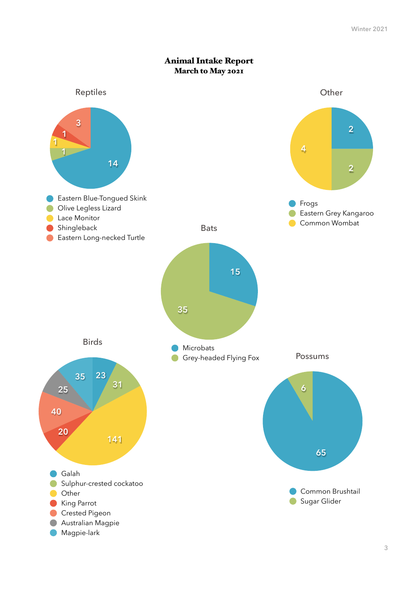

## Animal Intake Report March to May 2021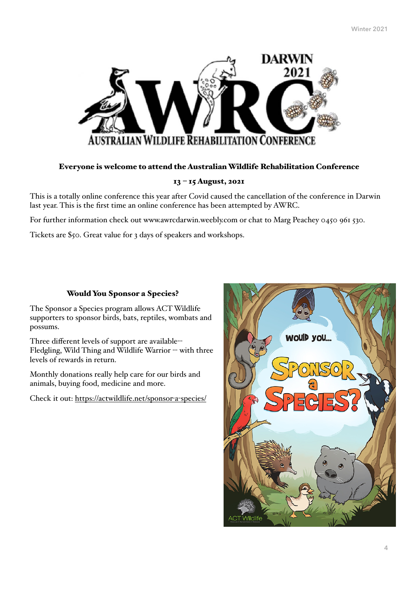

#### Everyone is welcome to attend the Australian Wildlife Rehabilitation Conference

#### 13 – 15 August, 2021

This is a totally online conference this year after Covid caused the cancellation of the conference in Darwin last year. This is the first time an online conference has been attempted by AWRC.

For further information check out www.awrcdarwin.weebly.com or chat to Marg Peachey 0450 961 530.

Tickets are \$50. Great value for 3 days of speakers and workshops.

#### Would You Sponsor a Species?

The Sponsor a Species program allows ACT Wildlife supporters to sponsor birds, bats, reptiles, wombats and possums.

Three different levels of support are available-- Fledgling, Wild Thing and Wildlife Warrior -- with three levels of rewards in return.

Monthly donations really help care for our birds and animals, buying food, medicine and more.

Check it out: [https://actwildlife.net/sponsor](https://actwildlife.net/sponsor-a-species/)-a-species/

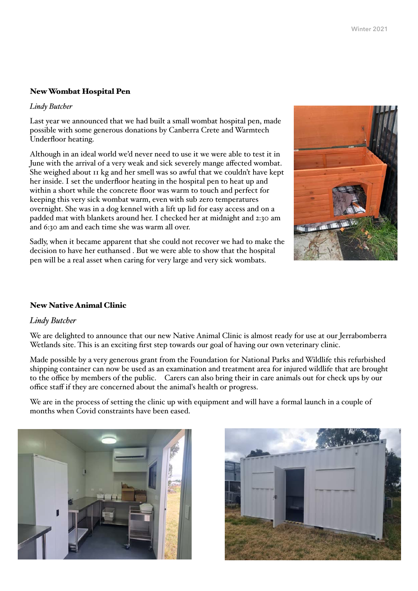## New Wombat Hospital Pen

*Lindy Butcher* 

Last year we announced that we had built a small wombat hospital pen, made possible with some generous donations by Canberra Crete and Warmtech Underfloor heating.

Although in an ideal world we'd never need to use it we were able to test it in June with the arrival of a very weak and sick severely mange affected wombat. She weighed about 11 kg and her smell was so awful that we couldn't have kept her inside. I set the underfloor heating in the hospital pen to heat up and within a short while the concrete floor was warm to touch and perfect for keeping this very sick wombat warm, even with sub zero temperatures overnight. She was in a dog kennel with a lift up lid for easy access and on a padded mat with blankets around her. I checked her at midnight and 2:30 am and 6:30 am and each time she was warm all over.

Sadly, when it became apparent that she could not recover we had to make the decision to have her euthansed . But we were able to show that the hospital pen will be a real asset when caring for very large and very sick wombats.



## New Native Animal Clinic

## *Lindy Butcher*

We are delighted to announce that our new Native Animal Clinic is almost ready for use at our Jerrabomberra Wetlands site. This is an exciting first step towards our goal of having our own veterinary clinic.

Made possible by a very generous grant from the Foundation for National Parks and Wildlife this refurbished shipping container can now be used as an examination and treatment area for injured wildlife that are brought to the office by members of the public. Carers can also bring their in care animals out for check ups by our office staff if they are concerned about the animal's health or progress.

We are in the process of setting the clinic up with equipment and will have a formal launch in a couple of months when Covid constraints have been eased.



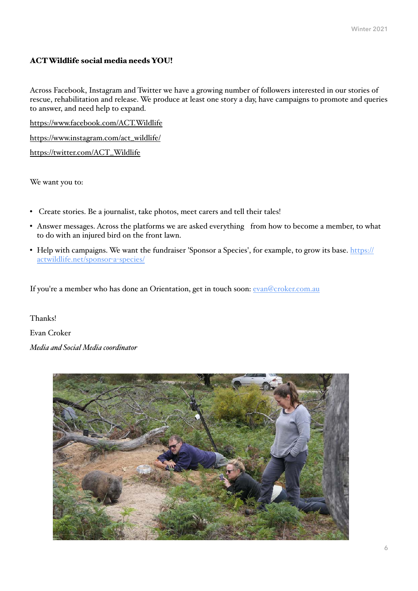## ACT Wildlife social media needs YOU!

Across Facebook, Instagram and Twitter we have a growing number of followers interested in our stories of rescue, rehabilitation and release. We produce at least one story a day, have campaigns to promote and queries to answer, and need help to expand.

<https://www.facebook.com/ACT.Wildlife>

[https://www.instagram.com/act\\_wildlife/](https://www.instagram.com/act_wildlife/)

[https://twitter.com/ACT\\_Wildlife](https://twitter.com/ACT_Wildlife)

We want you to:

- Create stories. Be a journalist, take photos, meet carers and tell their tales!
- Answer messages. Across the platforms we are asked everything from how to become a member, to what to do with an injured bird on the front lawn.
- Help with campaigns. We want the fundraiser 'Sponsor a Species', for example, to grow its base. [https://](https://actwildlife.net/sponsor-a-species/) [actwildlife.net/sponsor](https://actwildlife.net/sponsor-a-species/)-a-species/

If you're a member who has done an Orientation, get in touch soon: [evan@croker.com.au](mailto:evan@croker.com.au)

Thanks!

Evan Croker

*Media and Social Media coordinator*

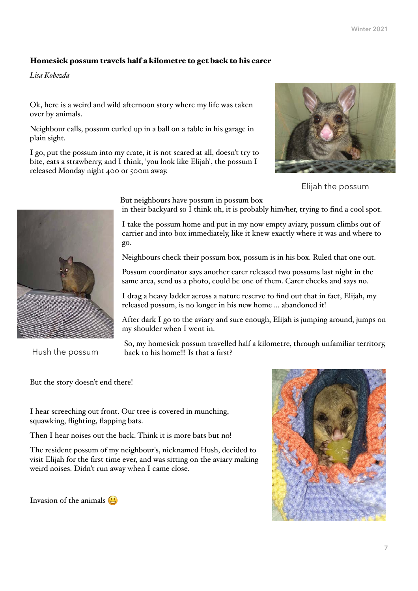## Homesick possum travels half a kilometre to get back to his carer

*Lisa Kobezda* 

Ok, here is a weird and wild afternoon story where my life was taken over by animals.

Neighbour calls, possum curled up in a ball on a table in his garage in plain sight.

I go, put the possum into my crate, it is not scared at all, doesn't try to bite, eats a strawberry, and I think, 'you look like Elijah', the possum I released Monday night 400 or 500m away.



Elijah the possum



Hush the possum

But neighbours have possum in possum box

in their backyard so I think oh, it is probably him/her, trying to find a cool spot.

I take the possum home and put in my now empty aviary, possum climbs out of carrier and into box immediately, like it knew exactly where it was and where to go.

Neighbours check their possum box, possum is in his box. Ruled that one out.

Possum coordinator says another carer released two possums last night in the same area, send us a photo, could be one of them. Carer checks and says no.

I drag a heavy ladder across a nature reserve to find out that in fact, Elijah, my released possum, is no longer in his new home ... abandoned it!

After dark I go to the aviary and sure enough, Elijah is jumping around, jumps on my shoulder when I went in.

So, my homesick possum travelled half a kilometre, through unfamiliar territory, back to his home!!! Is that a first?

But the story doesn't end there!

I hear screeching out front. Our tree is covered in munching, squawking, flighting, flapping bats.

Then I hear noises out the back. Think it is more bats but no!

The resident possum of my neighbour's, nicknamed Hush, decided to visit Elijah for the first time ever, and was sitting on the aviary making weird noises. Didn't run away when I came close.

Invasion of the animals  $\Box$ 

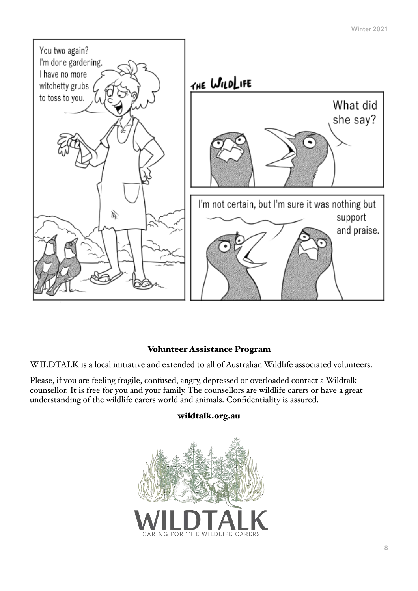

# Volunteer Assistance Program

WILDTALK is a local initiative and extended to all of Australian Wildlife associated volunteers.

Please, if you are feeling fragile, confused, angry, depressed or overloaded contact a Wildtalk counsellor. It is free for you and your family. The counsellors are wildlife carers or have a great understanding of the wildlife carers world and animals. Confidentiality is assured.



# [wildtalk.org.au](http://wildtalk.org.au)